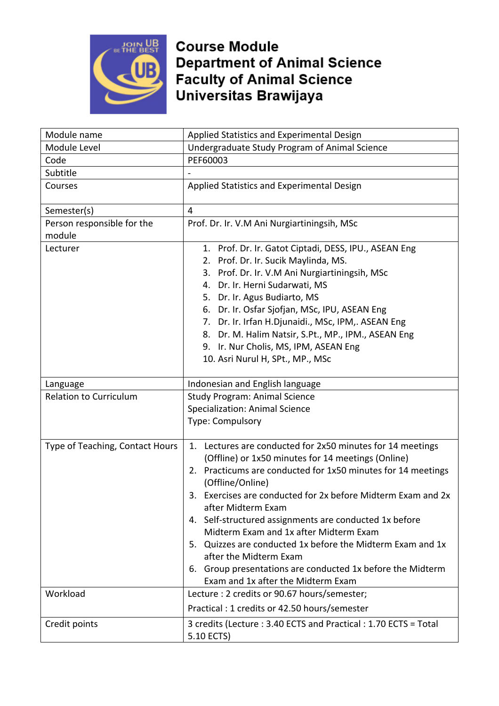

| Module name                     | Applied Statistics and Experimental Design                                                                                                                                                                                                                                                                                                                                                                                                                                                                                                                                                 |
|---------------------------------|--------------------------------------------------------------------------------------------------------------------------------------------------------------------------------------------------------------------------------------------------------------------------------------------------------------------------------------------------------------------------------------------------------------------------------------------------------------------------------------------------------------------------------------------------------------------------------------------|
| Module Level                    | Undergraduate Study Program of Animal Science                                                                                                                                                                                                                                                                                                                                                                                                                                                                                                                                              |
| Code                            | PEF60003                                                                                                                                                                                                                                                                                                                                                                                                                                                                                                                                                                                   |
| Subtitle                        |                                                                                                                                                                                                                                                                                                                                                                                                                                                                                                                                                                                            |
| Courses                         | Applied Statistics and Experimental Design                                                                                                                                                                                                                                                                                                                                                                                                                                                                                                                                                 |
| Semester(s)                     | 4                                                                                                                                                                                                                                                                                                                                                                                                                                                                                                                                                                                          |
| Person responsible for the      | Prof. Dr. Ir. V.M Ani Nurgiartiningsih, MSc                                                                                                                                                                                                                                                                                                                                                                                                                                                                                                                                                |
| module                          |                                                                                                                                                                                                                                                                                                                                                                                                                                                                                                                                                                                            |
| Lecturer                        | 1. Prof. Dr. Ir. Gatot Ciptadi, DESS, IPU., ASEAN Eng<br>2. Prof. Dr. Ir. Sucik Maylinda, MS.<br>3. Prof. Dr. Ir. V.M Ani Nurgiartiningsih, MSc<br>4. Dr. Ir. Herni Sudarwati, MS<br>5. Dr. Ir. Agus Budiarto, MS<br>6. Dr. Ir. Osfar Sjofjan, MSc, IPU, ASEAN Eng<br>7. Dr. Ir. Irfan H.Djunaidi., MSc, IPM,. ASEAN Eng<br>8. Dr. M. Halim Natsir, S.Pt., MP., IPM., ASEAN Eng<br>9. Ir. Nur Cholis, MS, IPM, ASEAN Eng<br>10. Asri Nurul H, SPt., MP., MSc                                                                                                                               |
| Language                        | Indonesian and English language                                                                                                                                                                                                                                                                                                                                                                                                                                                                                                                                                            |
| <b>Relation to Curriculum</b>   | <b>Study Program: Animal Science</b><br><b>Specialization: Animal Science</b><br>Type: Compulsory                                                                                                                                                                                                                                                                                                                                                                                                                                                                                          |
| Type of Teaching, Contact Hours | 1. Lectures are conducted for 2x50 minutes for 14 meetings<br>(Offline) or 1x50 minutes for 14 meetings (Online)<br>2. Practicums are conducted for 1x50 minutes for 14 meetings<br>(Offline/Online)<br>3. Exercises are conducted for 2x before Midterm Exam and 2x<br>after Midterm Exam<br>4. Self-structured assignments are conducted 1x before<br>Midterm Exam and 1x after Midterm Exam<br>5. Quizzes are conducted 1x before the Midterm Exam and 1x<br>after the Midterm Exam<br>6. Group presentations are conducted 1x before the Midterm<br>Exam and 1x after the Midterm Exam |
| Workload                        | Lecture : 2 credits or 90.67 hours/semester;<br>Practical: 1 credits or 42.50 hours/semester                                                                                                                                                                                                                                                                                                                                                                                                                                                                                               |
| Credit points                   | 3 credits (Lecture: 3.40 ECTS and Practical: 1.70 ECTS = Total<br>5.10 ECTS)                                                                                                                                                                                                                                                                                                                                                                                                                                                                                                               |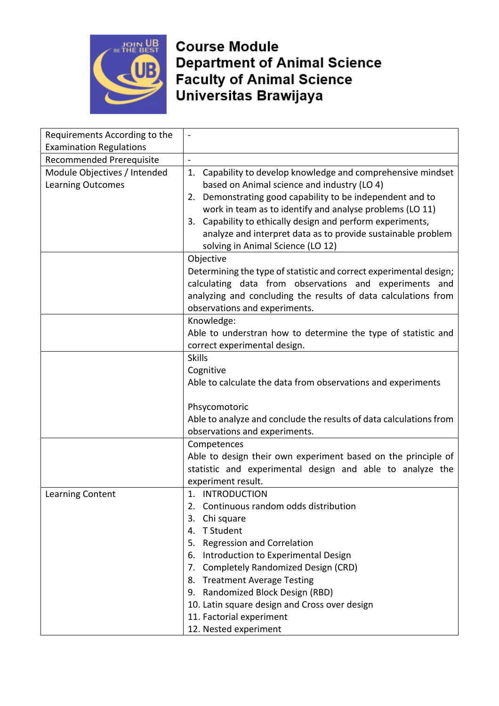

| Requirements According to the                     | $\qquad \qquad -$                                                                                                                                                                                                                                                                                                                                                                                       |
|---------------------------------------------------|---------------------------------------------------------------------------------------------------------------------------------------------------------------------------------------------------------------------------------------------------------------------------------------------------------------------------------------------------------------------------------------------------------|
| <b>Examination Regulations</b>                    |                                                                                                                                                                                                                                                                                                                                                                                                         |
| Recommended Prerequisite                          | $\overline{\phantom{a}}$                                                                                                                                                                                                                                                                                                                                                                                |
| Module Objectives / Intended<br>Learning Outcomes | 1. Capability to develop knowledge and comprehensive mindset<br>based on Animal science and industry (LO 4)<br>2. Demonstrating good capability to be independent and to<br>work in team as to identify and analyse problems (LO 11)<br>3. Capability to ethically design and perform experiments,<br>analyze and interpret data as to provide sustainable problem<br>solving in Animal Science (LO 12) |
|                                                   | Objective                                                                                                                                                                                                                                                                                                                                                                                               |
|                                                   | Determining the type of statistic and correct experimental design;<br>calculating data from observations and experiments and<br>analyzing and concluding the results of data calculations from<br>observations and experiments.                                                                                                                                                                         |
|                                                   | Knowledge:                                                                                                                                                                                                                                                                                                                                                                                              |
|                                                   | Able to understran how to determine the type of statistic and                                                                                                                                                                                                                                                                                                                                           |
|                                                   | correct experimental design.                                                                                                                                                                                                                                                                                                                                                                            |
|                                                   | <b>Skills</b>                                                                                                                                                                                                                                                                                                                                                                                           |
|                                                   | Cognitive                                                                                                                                                                                                                                                                                                                                                                                               |
|                                                   | Able to calculate the data from observations and experiments                                                                                                                                                                                                                                                                                                                                            |
|                                                   | Phsycomotoric                                                                                                                                                                                                                                                                                                                                                                                           |
|                                                   | Able to analyze and conclude the results of data calculations from                                                                                                                                                                                                                                                                                                                                      |
|                                                   | observations and experiments.                                                                                                                                                                                                                                                                                                                                                                           |
|                                                   | Competences<br>Able to design their own experiment based on the principle of<br>statistic and experimental design and able to analyze the<br>experiment result.                                                                                                                                                                                                                                         |
| Learning Content                                  | 1. INTRODUCTION                                                                                                                                                                                                                                                                                                                                                                                         |
|                                                   | Continuous random odds distribution                                                                                                                                                                                                                                                                                                                                                                     |
|                                                   | Chi square<br>3.                                                                                                                                                                                                                                                                                                                                                                                        |
|                                                   | T Student<br>4.                                                                                                                                                                                                                                                                                                                                                                                         |
|                                                   | <b>Regression and Correlation</b><br>5.                                                                                                                                                                                                                                                                                                                                                                 |
|                                                   | 6. Introduction to Experimental Design                                                                                                                                                                                                                                                                                                                                                                  |
|                                                   | Completely Randomized Design (CRD)<br>7.                                                                                                                                                                                                                                                                                                                                                                |
|                                                   | 8. Treatment Average Testing                                                                                                                                                                                                                                                                                                                                                                            |
|                                                   | 9. Randomized Block Design (RBD)                                                                                                                                                                                                                                                                                                                                                                        |
|                                                   | 10. Latin square design and Cross over design                                                                                                                                                                                                                                                                                                                                                           |
|                                                   | 11. Factorial experiment                                                                                                                                                                                                                                                                                                                                                                                |
|                                                   | 12. Nested experiment                                                                                                                                                                                                                                                                                                                                                                                   |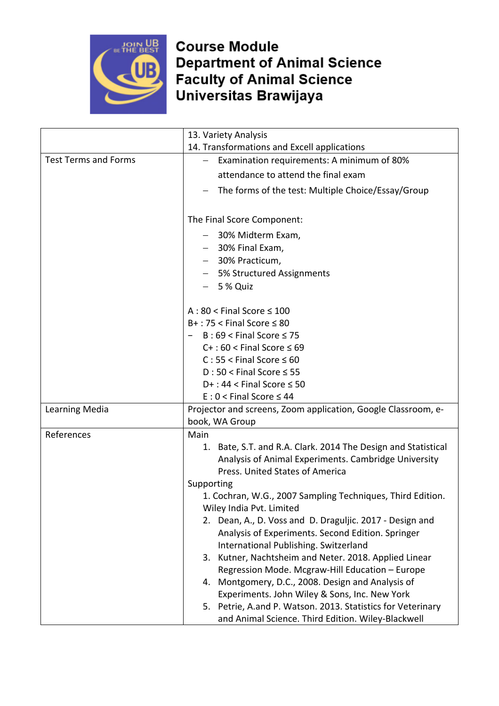

|                             | 13. Variety Analysis                                                                                                                                        |
|-----------------------------|-------------------------------------------------------------------------------------------------------------------------------------------------------------|
|                             | 14. Transformations and Excell applications                                                                                                                 |
| <b>Test Terms and Forms</b> | Examination requirements: A minimum of 80%<br>$\overline{\phantom{0}}$                                                                                      |
|                             | attendance to attend the final exam                                                                                                                         |
|                             | The forms of the test: Multiple Choice/Essay/Group                                                                                                          |
|                             | The Final Score Component:                                                                                                                                  |
|                             | - 30% Midterm Exam,                                                                                                                                         |
|                             | 30% Final Exam,                                                                                                                                             |
|                             | - 30% Practicum,                                                                                                                                            |
|                             | - 5% Structured Assignments                                                                                                                                 |
|                             | $-5%$ Quiz                                                                                                                                                  |
|                             | $A:80 <$ Final Score $\leq 100$                                                                                                                             |
|                             | $B+$ : 75 < Final Score $\leq 80$                                                                                                                           |
|                             | $B:69 <$ Final Score $\leq 75$                                                                                                                              |
|                             | $C+$ : 60 < Final Score $\leq 69$                                                                                                                           |
|                             | $C: 55 <$ Final Score $\leq 60$                                                                                                                             |
|                             | $D:50 <$ Final Score $\leq 55$                                                                                                                              |
|                             | $D+$ : 44 < Final Score $\leq$ 50                                                                                                                           |
|                             | $E: 0 <$ Final Score $\leq 44$                                                                                                                              |
| Learning Media              | Projector and screens, Zoom application, Google Classroom, e-<br>book, WA Group                                                                             |
| References                  | Main                                                                                                                                                        |
|                             | Bate, S.T. and R.A. Clark. 2014 The Design and Statistical<br>1.<br>Analysis of Animal Experiments. Cambridge University<br>Press. United States of America |
|                             | Supporting                                                                                                                                                  |
|                             | 1. Cochran, W.G., 2007 Sampling Techniques, Third Edition.                                                                                                  |
|                             | Wiley India Pvt. Limited                                                                                                                                    |
|                             | 2. Dean, A., D. Voss and D. Draguljic. 2017 - Design and                                                                                                    |
|                             | Analysis of Experiments. Second Edition. Springer                                                                                                           |
|                             | International Publishing. Switzerland                                                                                                                       |
|                             | 3. Kutner, Nachtsheim and Neter. 2018. Applied Linear                                                                                                       |
|                             | Regression Mode. Mcgraw-Hill Education - Europe<br>4. Montgomery, D.C., 2008. Design and Analysis of                                                        |
|                             | Experiments. John Wiley & Sons, Inc. New York                                                                                                               |
|                             | 5. Petrie, A.and P. Watson. 2013. Statistics for Veterinary                                                                                                 |
|                             | and Animal Science. Third Edition. Wiley-Blackwell                                                                                                          |